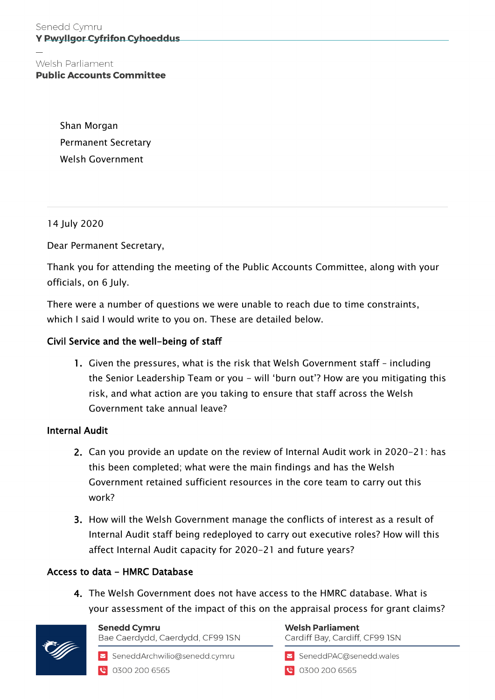Welsh Parliament **Public Accounts Committee** 

> Shan Morgan Permanent Secretary Welsh Government

14 July 2020

Dear Permanent Secretary,

Thank you for attending the meeting of the Public Accounts Committee, along with your officials, on 6 July.

There were a number of questions we were unable to reach due to time constraints, which I said I would write to you on. These are detailed below.

## Civil Service and the well-being of staff

1. Given the pressures, what is the risk that Welsh Government staff – including the Senior Leadership Team or you - will 'burn out'? How are you mitigating this risk, and what action are you taking to ensure that staff across the Welsh Government take annual leave?

## Internal Audit

- 2. Can you provide an update on the review of Internal Audit work in 2020-21: has this been completed; what were the main findings and has the Welsh Government retained sufficient resources in the core team to carry out this work?
- 3. How will the Welsh Government manage the conflicts of interest as a result of Internal Audit staff being redeployed to carry out executive roles? How will this affect Internal Audit capacity for 2020-21 and future years?

## Access to data - HMRC Database

4. The Welsh Government does not have access to the HMRC database. What is your assessment of the impact of this on the appraisal process for grant claims?



**Senedd Cymru** Bae Caerdydd, Caerdydd, CF99 ISN **Welsh Parliament** Cardiff Bay, Cardiff, CF99 ISN

SeneddArchwilio@senedd.cymru 0300 200 6565

SeneddPAC@senedd.wales

**8** 0300 200 6565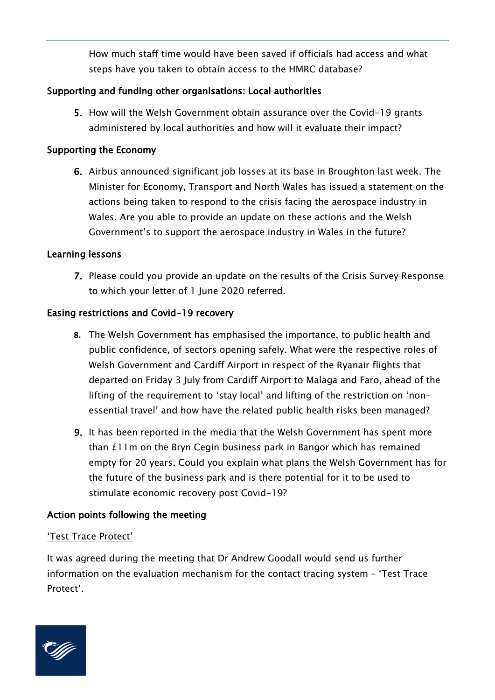How much staff time would have been saved if officials had access and what steps have you taken to obtain access to the HMRC database?

## Supporting and funding other organisations: Local authorities

5. How will the Welsh Government obtain assurance over the Covid-19 grants administered by local authorities and how will it evaluate their impact?

## Supporting the Economy

6. Airbus announced significant job losses at its base in Broughton last week. The Minister for Economy, Transport and North Wales has issued a statement on the actions being taken to respond to the crisis facing the aerospace industry in Wales. Are you able to provide an update on these actions and the Welsh Government's to support the aerospace industry in Wales in the future?

## Learning lessons

7. Please could you provide an update on the results of the Crisis Survey Response to which your letter of 1 June 2020 referred.

## Easing restrictions and Covid-19 recovery

- **8.** The Welsh Government has emphasised the importance, to public health and public confidence, of sectors opening safely. What were the respective roles of Welsh Government and Cardiff Airport in respect of the Ryanair flights that departed on Friday 3 July from Cardiff Airport to Malaga and Faro, ahead of the lifting of the requirement to 'stay local' and lifting of the restriction on 'nonessential travel' and how have the related public health risks been managed?
- 9. It has been reported in the media that the Welsh Government has spent more than £11m on the Bryn Cegin business park in Bangor which has remained empty for 20 years. Could you explain what plans the Welsh Government has for the future of the business park and is there potential for it to be used to stimulate economic recovery post Covid-19?

# Action points following the meeting

## 'Test Trace Protect'

It was agreed during the meeting that Dr Andrew Goodall would send us further information on the evaluation mechanism for the contact tracing system – 'Test Trace Protect'.

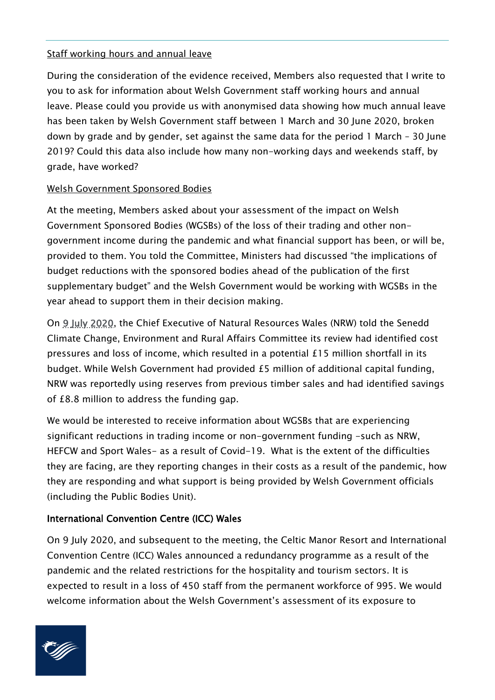#### Staff working hours and annual leave

During the consideration of the evidence received, Members also requested that I write to you to ask for information about Welsh Government staff working hours and annual leave. Please could you provide us with anonymised data showing how much annual leave has been taken by Welsh Government staff between 1 March and 30 June 2020, broken down by grade and by gender, set against the same data for the period 1 March – 30 June 2019? Could this data also include how many non-working days and weekends staff, by grade, have worked?

## Welsh Government Sponsored Bodies

At the meeting, Members asked about your assessment of the impact on Welsh Government Sponsored Bodies (WGSBs) of the loss of their trading and other nongovernment income during the pandemic and what financial support has been, or will be, provided to them. You told the Committee, Ministers had discussed "the implications of budget reductions with the sponsored bodies ahead of the publication of the first supplementary budget" and the Welsh Government would be working with WGSBs in the year ahead to support them in their decision making.

On [9 July 2020,](https://record.assembly.wales/Committee/6402) the Chief Executive of Natural Resources Wales (NRW) told the Senedd Climate Change, Environment and Rural Affairs Committee its review had identified cost pressures and loss of income, which resulted in a potential £15 million shortfall in its budget. While Welsh Government had provided £5 million of additional capital funding, NRW was reportedly using reserves from previous timber sales and had identified savings of £8.8 million to address the funding gap.

We would be interested to receive information about WGSBs that are experiencing significant reductions in trading income or non-government funding -such as NRW, HEFCW and Sport Wales- as a result of Covid-19. What is the extent of the difficulties they are facing, are they reporting changes in their costs as a result of the pandemic, how they are responding and what support is being provided by Welsh Government officials (including the Public Bodies Unit).

## International Convention Centre (ICC) Wales

On 9 July 2020, and subsequent to the meeting, the Celtic Manor Resort and International Convention Centre (ICC) Wales announced a redundancy programme as a result of the pandemic and the related restrictions for the hospitality and tourism sectors. It is expected to result in a loss of 450 staff from the permanent workforce of 995. We would welcome information about the Welsh Government's assessment of its exposure to